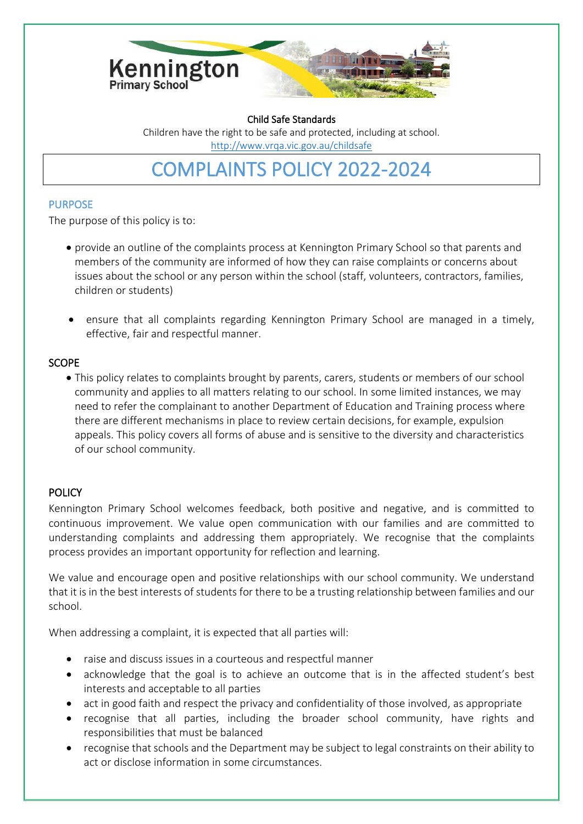

Child Safe Standards Children have the right to be safe and protected, including at school. <http://www.vrqa.vic.gov.au/childsafe>

COMPLAINTS POLICY 2022-2024

### PURPOSE

The purpose of this policy is to:

- provide an outline of the complaints process at Kennington Primary School so that parents and members of the community are informed of how they can raise complaints or concerns about issues about the school or any person within the school (staff, volunteers, contractors, families, children or students)
- ensure that all complaints regarding Kennington Primary School are managed in a timely, effective, fair and respectful manner.

## SCOPE

• This policy relates to complaints brought by parents, carers, students or members of our school community and applies to all matters relating to our school. In some limited instances, we may need to refer the complainant to another Department of Education and Training process where there are different mechanisms in place to review certain decisions, for example, expulsion appeals. This policy covers all forms of abuse and is sensitive to the diversity and characteristics of our school community.

# **POLICY**

Kennington Primary School welcomes feedback, both positive and negative, and is committed to continuous improvement. We value open communication with our families and are committed to understanding complaints and addressing them appropriately. We recognise that the complaints process provides an important opportunity for reflection and learning.

We value and encourage open and positive relationships with our school community. We understand that it is in the best interests of students for there to be a trusting relationship between families and our school.

When addressing a complaint, it is expected that all parties will:

- raise and discuss issues in a courteous and respectful manner
- acknowledge that the goal is to achieve an outcome that is in the affected student's best interests and acceptable to all parties
- act in good faith and respect the privacy and confidentiality of those involved, as appropriate
- recognise that all parties, including the broader school community, have rights and responsibilities that must be balanced
- recognise that schools and the Department may be subject to legal constraints on their ability to act or disclose information in some circumstances.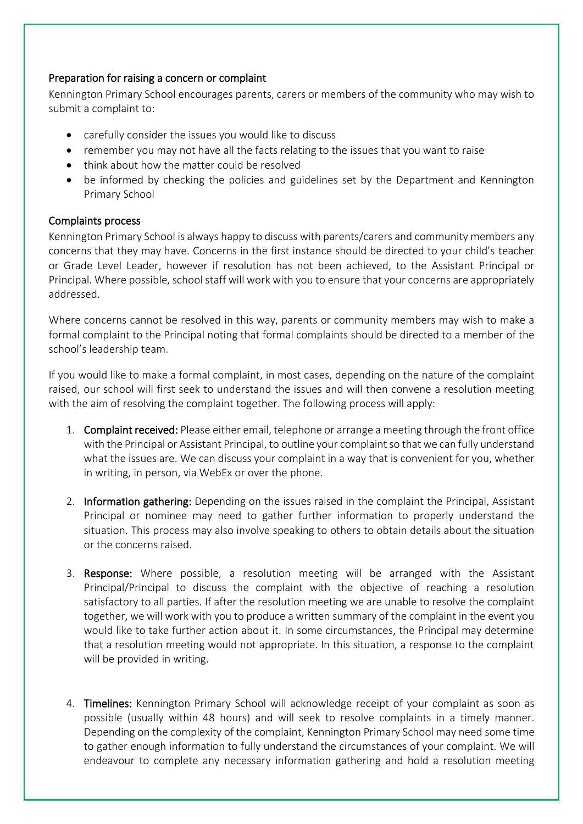### Preparation for raising a concern or complaint

Kennington Primary School encourages parents, carers or members of the community who may wish to submit a complaint to:

- carefully consider the issues you would like to discuss
- remember you may not have all the facts relating to the issues that you want to raise
- think about how the matter could be resolved
- be informed by checking the policies and guidelines set by the Department and Kennington Primary School

### Complaints process

Kennington Primary School is always happy to discuss with parents/carers and community members any concerns that they may have. Concerns in the first instance should be directed to your child's teacher or Grade Level Leader, however if resolution has not been achieved, to the Assistant Principal or Principal. Where possible, school staff will work with you to ensure that your concerns are appropriately addressed.

Where concerns cannot be resolved in this way, parents or community members may wish to make a formal complaint to the Principal noting that formal complaints should be directed to a member of the school's leadership team.

If you would like to make a formal complaint, in most cases, depending on the nature of the complaint raised, our school will first seek to understand the issues and will then convene a resolution meeting with the aim of resolving the complaint together. The following process will apply:

- 1. Complaint received: Please either email, telephone or arrange a meeting through the front office with the Principal or Assistant Principal, to outline your complaint so that we can fully understand what the issues are. We can discuss your complaint in a way that is convenient for you, whether in writing, in person, via WebEx or over the phone.
- 2. Information gathering: Depending on the issues raised in the complaint the Principal, Assistant Principal or nominee may need to gather further information to properly understand the situation. This process may also involve speaking to others to obtain details about the situation or the concerns raised.
- 3. Response: Where possible, a resolution meeting will be arranged with the Assistant Principal/Principal to discuss the complaint with the objective of reaching a resolution satisfactory to all parties. If after the resolution meeting we are unable to resolve the complaint together, we will work with you to produce a written summary of the complaint in the event you would like to take further action about it. In some circumstances, the Principal may determine that a resolution meeting would not appropriate. In this situation, a response to the complaint will be provided in writing.
- 4. Timelines: Kennington Primary School will acknowledge receipt of your complaint as soon as possible (usually within 48 hours) and will seek to resolve complaints in a timely manner. Depending on the complexity of the complaint, Kennington Primary School may need some time to gather enough information to fully understand the circumstances of your complaint. We will endeavour to complete any necessary information gathering and hold a resolution meeting